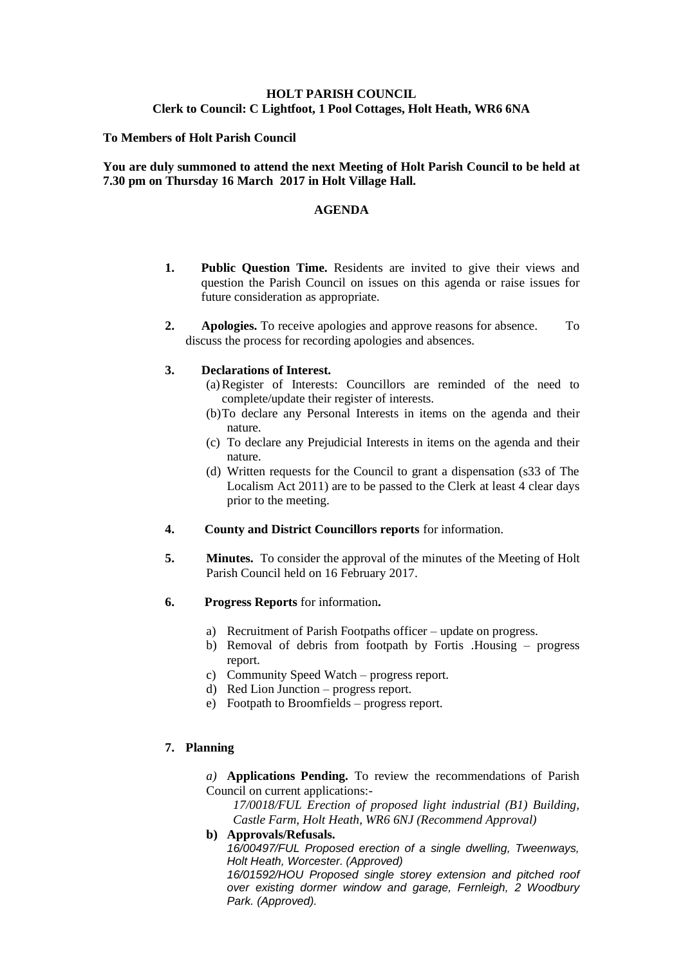## **HOLT PARISH COUNCIL Clerk to Council: C Lightfoot, 1 Pool Cottages, Holt Heath, WR6 6NA**

#### **To Members of Holt Parish Council**

#### **You are duly summoned to attend the next Meeting of Holt Parish Council to be held at 7.30 pm on Thursday 16 March 2017 in Holt Village Hall.**

#### **AGENDA**

- **1. Public Question Time.** Residents are invited to give their views and question the Parish Council on issues on this agenda or raise issues for future consideration as appropriate.
- **2. Apologies.** To receive apologies and approve reasons for absence. To discuss the process for recording apologies and absences.

#### **3. Declarations of Interest.**

- (a)Register of Interests: Councillors are reminded of the need to complete/update their register of interests.
- (b)To declare any Personal Interests in items on the agenda and their nature.
- (c) To declare any Prejudicial Interests in items on the agenda and their nature.
- (d) Written requests for the Council to grant a dispensation (s33 of The Localism Act 2011) are to be passed to the Clerk at least 4 clear days prior to the meeting.
- **4. County and District Councillors reports** for information.
- **5. Minutes.** To consider the approval of the minutes of the Meeting of Holt Parish Council held on 16 February 2017.
- **6. Progress Reports** for information**.**
	- a) Recruitment of Parish Footpaths officer update on progress.
	- b) Removal of debris from footpath by Fortis .Housing progress report.
	- c) Community Speed Watch progress report.
	- d) Red Lion Junction progress report.
	- e) Footpath to Broomfields progress report.

## **7. Planning**

*a)* **Applications Pending.** To review the recommendations of Parish Council on current applications:-

*17/0018/FUL Erection of proposed light industrial (B1) Building, Castle Farm, Holt Heath, WR6 6NJ (Recommend Approval)*

## **b) Approvals/Refusals.**

*16/00497/FUL Proposed erection of a single dwelling, Tweenways, Holt Heath, Worcester. (Approved)*

*16/01592/HOU Proposed single storey extension and pitched roof over existing dormer window and garage, Fernleigh, 2 Woodbury Park. (Approved).*